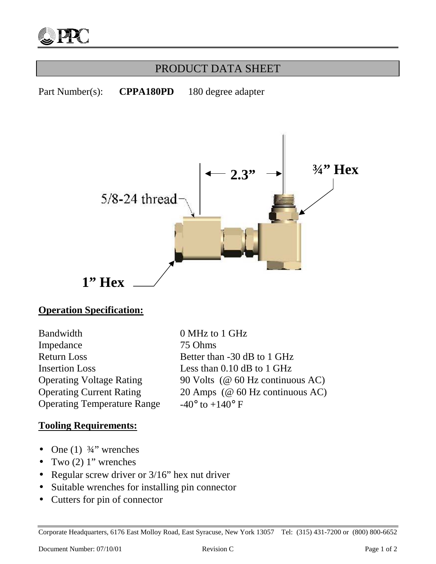

## PRODUCT DATA SHEET

Part Number(s): **CPPA180PD** 180 degree adapter



#### **Operation Specification:**

Bandwidth 0 MHz to 1 GHz Impedance 75 Ohms Return Loss Better than -30 dB to 1 GHz Insertion Loss Less than 0.10 dB to 1 GHz Operating Temperature Range  $-40^{\circ}$  to  $+140^{\circ}$  F

Operating Voltage Rating 90 Volts (@ 60 Hz continuous AC) Operating Current Rating 20 Amps (@ 60 Hz continuous AC)

#### **Tooling Requirements:**

- One  $(1)$   $\frac{3}{4}$ " wrenches
- Two  $(2)$  1" wrenches
- Regular screw driver or  $3/16$ " hex nut driver
- Suitable wrenches for installing pin connector
- Cutters for pin of connector

Corporate Headquarters, 6176 East Molloy Road, East Syracuse, New York 13057 Tel: (315) 431-7200 or (800) 800-6652